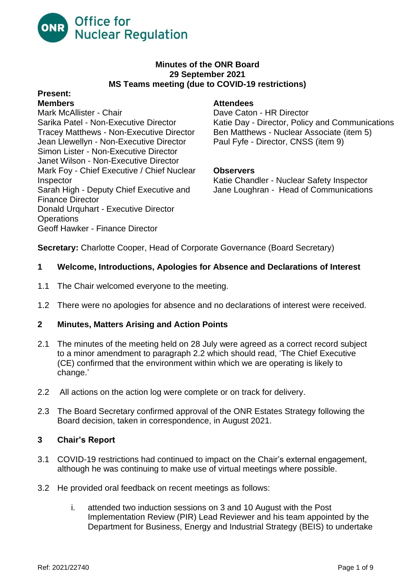

#### **Minutes of the ONR Board 29 September 2021 MS Teams meeting (due to COVID-19 restrictions)**

# **Present:**

Mark McAllister - Chair **Dave Caton - HR Director** Jean Llewellyn - Non-Executive Director Paul Fyfe - Director, CNSS (item 9) Simon Lister - Non-Executive Director Janet Wilson - Non-Executive Director Mark Foy - Chief Executive / Chief Nuclear **Observers** Inspector Katie Chandler - Nuclear Safety Inspector Sarah High - Deputy Chief Executive and Jane Loughran - Head of Communications Finance Director Donald Urquhart - Executive Director **Operations** Geoff Hawker - Finance Director

## **Members Attendees**

Sarika Patel - Non-Executive Director Katie Day - Director, Policy and Communications Tracey Matthews - Non-Executive Director Ben Matthews - Nuclear Associate (item 5)

**Secretary:** Charlotte Cooper, Head of Corporate Governance (Board Secretary)

## **1 Welcome, Introductions, Apologies for Absence and Declarations of Interest**

- 1.1 The Chair welcomed everyone to the meeting.
- 1.2 There were no apologies for absence and no declarations of interest were received.

#### **2 Minutes, Matters Arising and Action Points**

- 2.1 The minutes of the meeting held on 28 July were agreed as a correct record subject to a minor amendment to paragraph 2.2 which should read, 'The Chief Executive (CE) confirmed that the environment within which we are operating is likely to change.'
- 2.2 All actions on the action log were complete or on track for delivery.
- 2.3 The Board Secretary confirmed approval of the ONR Estates Strategy following the Board decision, taken in correspondence, in August 2021.

#### **3 Chair's Report**

- 3.1 COVID-19 restrictions had continued to impact on the Chair's external engagement, although he was continuing to make use of virtual meetings where possible.
- 3.2 He provided oral feedback on recent meetings as follows:
	- i. attended two induction sessions on 3 and 10 August with the Post Implementation Review (PIR) Lead Reviewer and his team appointed by the Department for Business, Energy and Industrial Strategy (BEIS) to undertake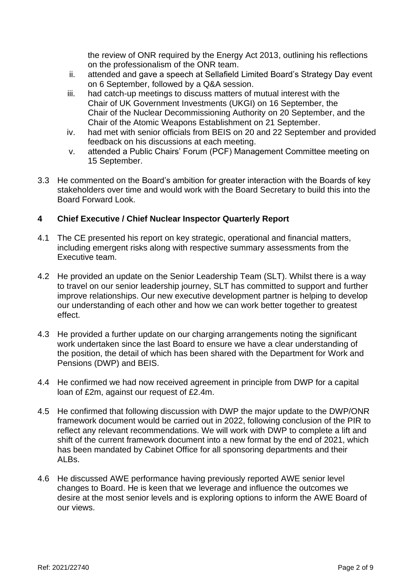the review of ONR required by the Energy Act 2013, outlining his reflections on the professionalism of the ONR team.

- ii. attended and gave a speech at Sellafield Limited Board's Strategy Day event on 6 September, followed by a Q&A session.
- iii. had catch-up meetings to discuss matters of mutual interest with the Chair of UK Government Investments (UKGI) on 16 September, the Chair of the Nuclear Decommissioning Authority on 20 September, and the Chair of the Atomic Weapons Establishment on 21 September.
- iv. had met with senior officials from BEIS on 20 and 22 September and provided feedback on his discussions at each meeting.
- v. attended a Public Chairs' Forum (PCF) Management Committee meeting on 15 September.
- 3.3 He commented on the Board's ambition for greater interaction with the Boards of key stakeholders over time and would work with the Board Secretary to build this into the Board Forward Look.

# **4 Chief Executive / Chief Nuclear Inspector Quarterly Report**

- 4.1 The CE presented his report on key strategic, operational and financial matters, including emergent risks along with respective summary assessments from the Executive team.
- 4.2 He provided an update on the Senior Leadership Team (SLT). Whilst there is a way to travel on our senior leadership journey, SLT has committed to support and further improve relationships. Our new executive development partner is helping to develop our understanding of each other and how we can work better together to greatest effect.
- 4.3 He provided a further update on our charging arrangements noting the significant work undertaken since the last Board to ensure we have a clear understanding of the position, the detail of which has been shared with the Department for Work and Pensions (DWP) and BEIS.
- 4.4 He confirmed we had now received agreement in principle from DWP for a capital loan of £2m, against our request of £2.4m.
- 4.5 He confirmed that following discussion with DWP the major update to the DWP/ONR framework document would be carried out in 2022, following conclusion of the PIR to reflect any relevant recommendations. We will work with DWP to complete a lift and shift of the current framework document into a new format by the end of 2021, which has been mandated by Cabinet Office for all sponsoring departments and their ALBs.
- 4.6 He discussed AWE performance having previously reported AWE senior level changes to Board. He is keen that we leverage and influence the outcomes we desire at the most senior levels and is exploring options to inform the AWE Board of our views.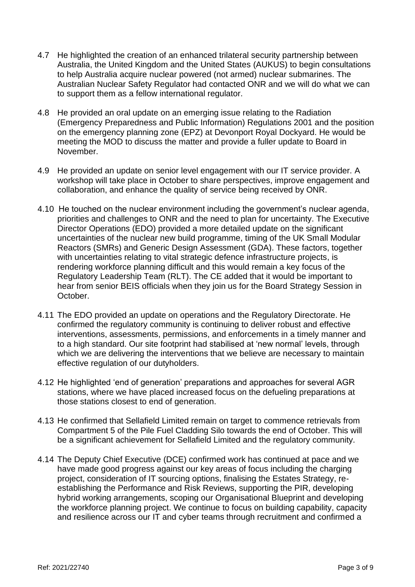- 4.7 He highlighted the creation of an enhanced trilateral security partnership between Australia, the United Kingdom and the United States (AUKUS) to begin consultations to help Australia acquire nuclear powered (not armed) nuclear submarines. The Australian Nuclear Safety Regulator had contacted ONR and we will do what we can to support them as a fellow international regulator.
- 4.8 He provided an oral update on an emerging issue relating to the Radiation (Emergency Preparedness and Public Information) Regulations 2001 and the position on the emergency planning zone (EPZ) at Devonport Royal Dockyard. He would be meeting the MOD to discuss the matter and provide a fuller update to Board in November.
- 4.9 He provided an update on senior level engagement with our IT service provider. A workshop will take place in October to share perspectives, improve engagement and collaboration, and enhance the quality of service being received by ONR.
- 4.10 He touched on the nuclear environment including the government's nuclear agenda, priorities and challenges to ONR and the need to plan for uncertainty. The Executive Director Operations (EDO) provided a more detailed update on the significant uncertainties of the nuclear new build programme, timing of the UK Small Modular Reactors (SMRs) and Generic Design Assessment (GDA). These factors, together with uncertainties relating to vital strategic defence infrastructure projects, is rendering workforce planning difficult and this would remain a key focus of the Regulatory Leadership Team (RLT). The CE added that it would be important to hear from senior BEIS officials when they join us for the Board Strategy Session in October.
- 4.11 The EDO provided an update on operations and the Regulatory Directorate. He confirmed the regulatory community is continuing to deliver robust and effective interventions, assessments, permissions, and enforcements in a timely manner and to a high standard. Our site footprint had stabilised at 'new normal' levels, through which we are delivering the interventions that we believe are necessary to maintain effective regulation of our dutyholders.
- 4.12 He highlighted 'end of generation' preparations and approaches for several AGR stations, where we have placed increased focus on the defueling preparations at those stations closest to end of generation.
- 4.13 He confirmed that Sellafield Limited remain on target to commence retrievals from Compartment 5 of the Pile Fuel Cladding Silo towards the end of October. This will be a significant achievement for Sellafield Limited and the regulatory community.
- 4.14 The Deputy Chief Executive (DCE) confirmed work has continued at pace and we have made good progress against our key areas of focus including the charging project, consideration of IT sourcing options, finalising the Estates Strategy, reestablishing the Performance and Risk Reviews, supporting the PIR, developing hybrid working arrangements, scoping our Organisational Blueprint and developing the workforce planning project. We continue to focus on building capability, capacity and resilience across our IT and cyber teams through recruitment and confirmed a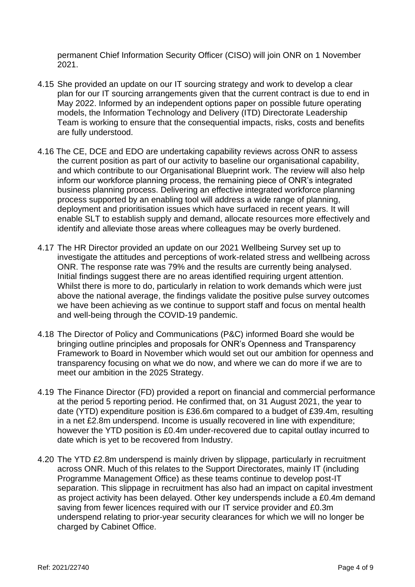permanent Chief Information Security Officer (CISO) will join ONR on 1 November 2021.

- 4.15 She provided an update on our IT sourcing strategy and work to develop a clear plan for our IT sourcing arrangements given that the current contract is due to end in May 2022. Informed by an independent options paper on possible future operating models, the Information Technology and Delivery (ITD) Directorate Leadership Team is working to ensure that the consequential impacts, risks, costs and benefits are fully understood.
- 4.16 The CE, DCE and EDO are undertaking capability reviews across ONR to assess the current position as part of our activity to baseline our organisational capability, and which contribute to our Organisational Blueprint work. The review will also help inform our workforce planning process, the remaining piece of ONR's integrated business planning process. Delivering an effective integrated workforce planning process supported by an enabling tool will address a wide range of planning, deployment and prioritisation issues which have surfaced in recent years. It will enable SLT to establish supply and demand, allocate resources more effectively and identify and alleviate those areas where colleagues may be overly burdened.
- 4.17 The HR Director provided an update on our 2021 Wellbeing Survey set up to investigate the attitudes and perceptions of work-related stress and wellbeing across ONR. The response rate was 79% and the results are currently being analysed. Initial findings suggest there are no areas identified requiring urgent attention. Whilst there is more to do, particularly in relation to work demands which were just above the national average, the findings validate the positive pulse survey outcomes we have been achieving as we continue to support staff and focus on mental health and well-being through the COVID-19 pandemic.
- 4.18 The Director of Policy and Communications (P&C) informed Board she would be bringing outline principles and proposals for ONR's Openness and Transparency Framework to Board in November which would set out our ambition for openness and transparency focusing on what we do now, and where we can do more if we are to meet our ambition in the 2025 Strategy.
- 4.19 The Finance Director (FD) provided a report on financial and commercial performance at the period 5 reporting period. He confirmed that, on 31 August 2021, the year to date (YTD) expenditure position is £36.6m compared to a budget of £39.4m, resulting in a net £2.8m underspend. Income is usually recovered in line with expenditure; however the YTD position is £0.4m under-recovered due to capital outlay incurred to date which is yet to be recovered from Industry.
- 4.20 The YTD £2.8m underspend is mainly driven by slippage, particularly in recruitment across ONR. Much of this relates to the Support Directorates, mainly IT (including Programme Management Office) as these teams continue to develop post-IT separation. This slippage in recruitment has also had an impact on capital investment as project activity has been delayed. Other key underspends include a £0.4m demand saving from fewer licences required with our IT service provider and £0.3m underspend relating to prior-year security clearances for which we will no longer be charged by Cabinet Office.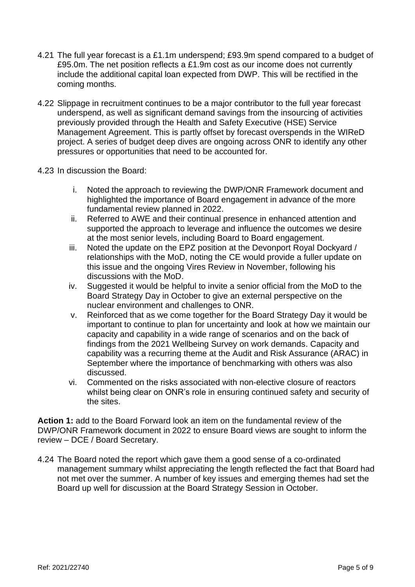- 4.21 The full year forecast is a £1.1m underspend; £93.9m spend compared to a budget of £95.0m. The net position reflects a £1.9m cost as our income does not currently include the additional capital loan expected from DWP. This will be rectified in the coming months.
- 4.22 Slippage in recruitment continues to be a major contributor to the full year forecast underspend, as well as significant demand savings from the insourcing of activities previously provided through the Health and Safety Executive (HSE) Service Management Agreement. This is partly offset by forecast overspends in the WIReD project. A series of budget deep dives are ongoing across ONR to identify any other pressures or opportunities that need to be accounted for.
- 4.23 In discussion the Board:
	- i. Noted the approach to reviewing the DWP/ONR Framework document and highlighted the importance of Board engagement in advance of the more fundamental review planned in 2022.
	- ii. Referred to AWE and their continual presence in enhanced attention and supported the approach to leverage and influence the outcomes we desire at the most senior levels, including Board to Board engagement.
	- iii. Noted the update on the EPZ position at the Devonport Royal Dockyard / relationships with the MoD, noting the CE would provide a fuller update on this issue and the ongoing Vires Review in November, following his discussions with the MoD.
	- iv. Suggested it would be helpful to invite a senior official from the MoD to the Board Strategy Day in October to give an external perspective on the nuclear environment and challenges to ONR.
	- v. Reinforced that as we come together for the Board Strategy Day it would be important to continue to plan for uncertainty and look at how we maintain our capacity and capability in a wide range of scenarios and on the back of findings from the 2021 Wellbeing Survey on work demands. Capacity and capability was a recurring theme at the Audit and Risk Assurance (ARAC) in September where the importance of benchmarking with others was also discussed.
	- vi. Commented on the risks associated with non-elective closure of reactors whilst being clear on ONR's role in ensuring continued safety and security of the sites.

**Action 1:** add to the Board Forward look an item on the fundamental review of the DWP/ONR Framework document in 2022 to ensure Board views are sought to inform the review – DCE / Board Secretary.

4.24 The Board noted the report which gave them a good sense of a co-ordinated management summary whilst appreciating the length reflected the fact that Board had not met over the summer. A number of key issues and emerging themes had set the Board up well for discussion at the Board Strategy Session in October.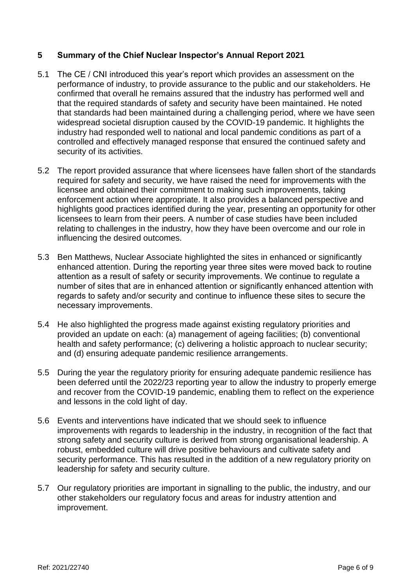## **5 Summary of the Chief Nuclear Inspector's Annual Report 2021**

- 5.1 The CE / CNI introduced this year's report which provides an assessment on the performance of industry, to provide assurance to the public and our stakeholders. He confirmed that overall he remains assured that the industry has performed well and that the required standards of safety and security have been maintained. He noted that standards had been maintained during a challenging period, where we have seen widespread societal disruption caused by the COVID-19 pandemic. It highlights the industry had responded well to national and local pandemic conditions as part of a controlled and effectively managed response that ensured the continued safety and security of its activities.
- 5.2 The report provided assurance that where licensees have fallen short of the standards required for safety and security, we have raised the need for improvements with the licensee and obtained their commitment to making such improvements, taking enforcement action where appropriate. It also provides a balanced perspective and highlights good practices identified during the year, presenting an opportunity for other licensees to learn from their peers. A number of case studies have been included relating to challenges in the industry, how they have been overcome and our role in influencing the desired outcomes.
- 5.3 Ben Matthews, Nuclear Associate highlighted the sites in enhanced or significantly enhanced attention. During the reporting year three sites were moved back to routine attention as a result of safety or security improvements. We continue to regulate a number of sites that are in enhanced attention or significantly enhanced attention with regards to safety and/or security and continue to influence these sites to secure the necessary improvements.
- 5.4 He also highlighted the progress made against existing regulatory priorities and provided an update on each: (a) management of ageing facilities; (b) conventional health and safety performance; (c) delivering a holistic approach to nuclear security; and (d) ensuring adequate pandemic resilience arrangements.
- 5.5 During the year the regulatory priority for ensuring adequate pandemic resilience has been deferred until the 2022/23 reporting year to allow the industry to properly emerge and recover from the COVID-19 pandemic, enabling them to reflect on the experience and lessons in the cold light of day.
- 5.6 Events and interventions have indicated that we should seek to influence improvements with regards to leadership in the industry, in recognition of the fact that strong safety and security culture is derived from strong organisational leadership. A robust, embedded culture will drive positive behaviours and cultivate safety and security performance. This has resulted in the addition of a new regulatory priority on leadership for safety and security culture.
- 5.7 Our regulatory priorities are important in signalling to the public, the industry, and our other stakeholders our regulatory focus and areas for industry attention and improvement.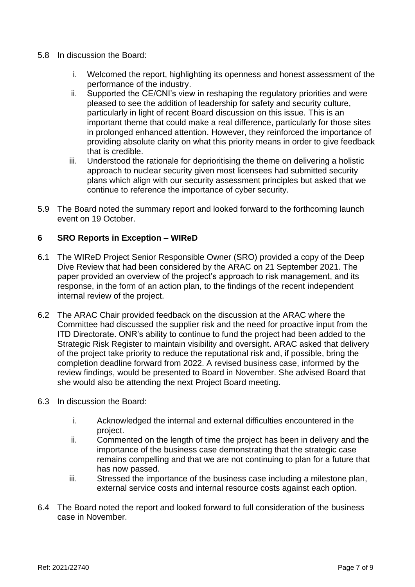- 5.8 In discussion the Board:
	- i. Welcomed the report, highlighting its openness and honest assessment of the performance of the industry.
	- ii. Supported the CE/CNI's view in reshaping the regulatory priorities and were pleased to see the addition of leadership for safety and security culture, particularly in light of recent Board discussion on this issue. This is an important theme that could make a real difference, particularly for those sites in prolonged enhanced attention. However, they reinforced the importance of providing absolute clarity on what this priority means in order to give feedback that is credible.
	- iii. Understood the rationale for deprioritising the theme on delivering a holistic approach to nuclear security given most licensees had submitted security plans which align with our security assessment principles but asked that we continue to reference the importance of cyber security.
- 5.9 The Board noted the summary report and looked forward to the forthcoming launch event on 19 October.

## **6 SRO Reports in Exception – WIReD**

- 6.1 The WIReD Project Senior Responsible Owner (SRO) provided a copy of the Deep Dive Review that had been considered by the ARAC on 21 September 2021. The paper provided an overview of the project's approach to risk management, and its response, in the form of an action plan, to the findings of the recent independent internal review of the project.
- 6.2 The ARAC Chair provided feedback on the discussion at the ARAC where the Committee had discussed the supplier risk and the need for proactive input from the ITD Directorate. ONR's ability to continue to fund the project had been added to the Strategic Risk Register to maintain visibility and oversight. ARAC asked that delivery of the project take priority to reduce the reputational risk and, if possible, bring the completion deadline forward from 2022. A revised business case, informed by the review findings, would be presented to Board in November. She advised Board that she would also be attending the next Project Board meeting.
- 6.3 In discussion the Board:
	- i. Acknowledged the internal and external difficulties encountered in the project.
	- ii. Commented on the length of time the project has been in delivery and the importance of the business case demonstrating that the strategic case remains compelling and that we are not continuing to plan for a future that has now passed.
	- iii. Stressed the importance of the business case including a milestone plan, external service costs and internal resource costs against each option.
- 6.4 The Board noted the report and looked forward to full consideration of the business case in November.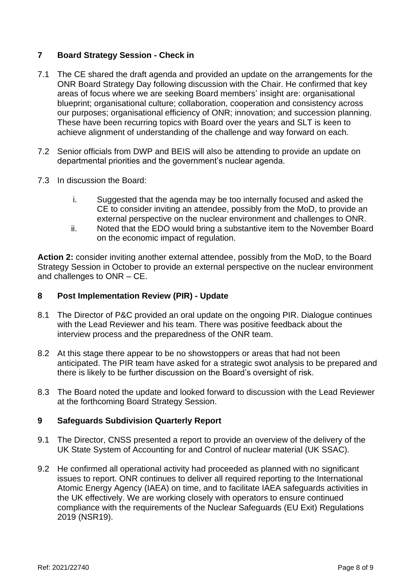# **7 Board Strategy Session - Check in**

- 7.1 The CE shared the draft agenda and provided an update on the arrangements for the ONR Board Strategy Day following discussion with the Chair. He confirmed that key areas of focus where we are seeking Board members' insight are: organisational blueprint; organisational culture; collaboration, cooperation and consistency across our purposes; organisational efficiency of ONR; innovation; and succession planning. These have been recurring topics with Board over the years and SLT is keen to achieve alignment of understanding of the challenge and way forward on each.
- 7.2 Senior officials from DWP and BEIS will also be attending to provide an update on departmental priorities and the government's nuclear agenda.
- 7.3 In discussion the Board:
	- i. Suggested that the agenda may be too internally focused and asked the CE to consider inviting an attendee, possibly from the MoD, to provide an external perspective on the nuclear environment and challenges to ONR.
	- ii. Noted that the EDO would bring a substantive item to the November Board on the economic impact of regulation.

**Action 2:** consider inviting another external attendee, possibly from the MoD, to the Board Strategy Session in October to provide an external perspective on the nuclear environment and challenges to ONR – CE.

#### **8 Post Implementation Review (PIR) - Update**

- 8.1 The Director of P&C provided an oral update on the ongoing PIR. Dialogue continues with the Lead Reviewer and his team. There was positive feedback about the interview process and the preparedness of the ONR team.
- 8.2 At this stage there appear to be no showstoppers or areas that had not been anticipated. The PIR team have asked for a strategic swot analysis to be prepared and there is likely to be further discussion on the Board's oversight of risk.
- 8.3 The Board noted the update and looked forward to discussion with the Lead Reviewer at the forthcoming Board Strategy Session.

# **9 Safeguards Subdivision Quarterly Report**

- 9.1 The Director, CNSS presented a report to provide an overview of the delivery of the UK State System of Accounting for and Control of nuclear material (UK SSAC).
- 9.2 He confirmed all operational activity had proceeded as planned with no significant issues to report. ONR continues to deliver all required reporting to the International Atomic Energy Agency (IAEA) on time, and to facilitate IAEA safeguards activities in the UK effectively. We are working closely with operators to ensure continued compliance with the requirements of the Nuclear Safeguards (EU Exit) Regulations 2019 (NSR19).